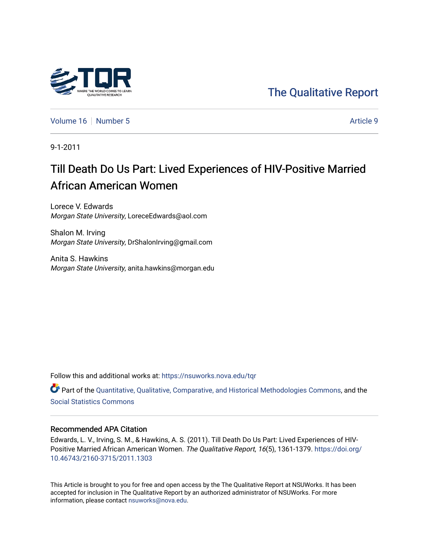## [The Qualitative Report](https://nsuworks.nova.edu/tqr)

[Volume 16](https://nsuworks.nova.edu/tqr/vol16) [Number 5](https://nsuworks.nova.edu/tqr/vol16/iss5) Article 9

9-1-2011

## Till Death Do Us Part: Lived Experiences of HIV-Positive Married African American Women

Lorece V. Edwards Morgan State University, LoreceEdwards@aol.com

Shalon M. Irving Morgan State University, DrShalonIrving@gmail.com

Anita S. Hawkins Morgan State University, anita.hawkins@morgan.edu

Follow this and additional works at: [https://nsuworks.nova.edu/tqr](https://nsuworks.nova.edu/tqr?utm_source=nsuworks.nova.edu%2Ftqr%2Fvol16%2Fiss5%2F9&utm_medium=PDF&utm_campaign=PDFCoverPages) 

Part of the [Quantitative, Qualitative, Comparative, and Historical Methodologies Commons,](http://network.bepress.com/hgg/discipline/423?utm_source=nsuworks.nova.edu%2Ftqr%2Fvol16%2Fiss5%2F9&utm_medium=PDF&utm_campaign=PDFCoverPages) and the [Social Statistics Commons](http://network.bepress.com/hgg/discipline/1275?utm_source=nsuworks.nova.edu%2Ftqr%2Fvol16%2Fiss5%2F9&utm_medium=PDF&utm_campaign=PDFCoverPages) 

#### Recommended APA Citation

Edwards, L. V., Irving, S. M., & Hawkins, A. S. (2011). Till Death Do Us Part: Lived Experiences of HIV-Positive Married African American Women. The Qualitative Report, 16(5), 1361-1379. [https://doi.org/](https://doi.org/10.46743/2160-3715/2011.1303) [10.46743/2160-3715/2011.1303](https://doi.org/10.46743/2160-3715/2011.1303)

This Article is brought to you for free and open access by the The Qualitative Report at NSUWorks. It has been accepted for inclusion in The Qualitative Report by an authorized administrator of NSUWorks. For more information, please contact [nsuworks@nova.edu.](mailto:nsuworks@nova.edu)

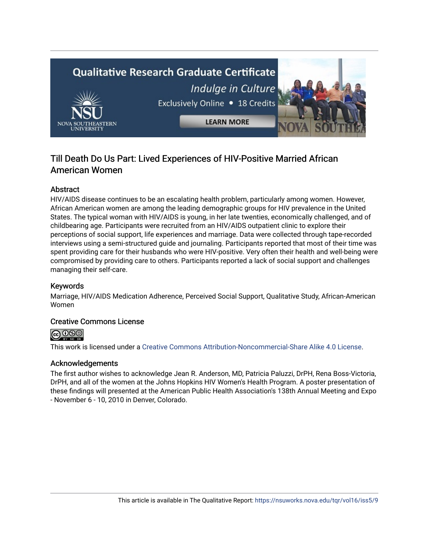# **Qualitative Research Graduate Certificate** Indulge in Culture Exclusively Online . 18 Credits **LEARN MORE**

### Till Death Do Us Part: Lived Experiences of HIV-Positive Married African American Women

#### **Abstract**

HIV/AIDS disease continues to be an escalating health problem, particularly among women. However, African American women are among the leading demographic groups for HIV prevalence in the United States. The typical woman with HIV/AIDS is young, in her late twenties, economically challenged, and of childbearing age. Participants were recruited from an HIV/AIDS outpatient clinic to explore their perceptions of social support, life experiences and marriage. Data were collected through tape-recorded interviews using a semi-structured guide and journaling. Participants reported that most of their time was spent providing care for their husbands who were HIV-positive. Very often their health and well-being were compromised by providing care to others. Participants reported a lack of social support and challenges managing their self-care.

#### Keywords

Marriage, HIV/AIDS Medication Adherence, Perceived Social Support, Qualitative Study, African-American Women

#### Creative Commons License



This work is licensed under a [Creative Commons Attribution-Noncommercial-Share Alike 4.0 License](https://creativecommons.org/licenses/by-nc-sa/4.0/).

#### Acknowledgements

The first author wishes to acknowledge Jean R. Anderson, MD, Patricia Paluzzi, DrPH, Rena Boss-Victoria, DrPH, and all of the women at the Johns Hopkins HIV Women's Health Program. A poster presentation of these findings will presented at the American Public Health Association's 138th Annual Meeting and Expo - November 6 - 10, 2010 in Denver, Colorado.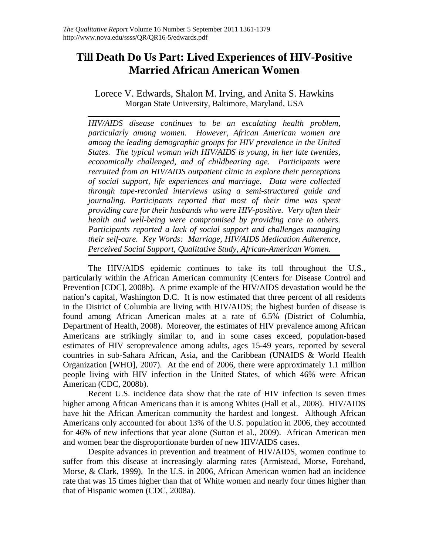## **Till Death Do Us Part: Lived Experiences of HIV-Positive Married African American Women**

Lorece V. Edwards, Shalon M. Irving, and Anita S. Hawkins Morgan State University, Baltimore, Maryland, USA

*HIV/AIDS disease continues to be an escalating health problem, particularly among women. However, African American women are among the leading demographic groups for HIV prevalence in the United States. The typical woman with HIV/AIDS is young, in her late twenties, economically challenged, and of childbearing age. Participants were recruited from an HIV/AIDS outpatient clinic to explore their perceptions of social support, life experiences and marriage. Data were collected through tape-recorded interviews using a semi-structured guide and journaling. Participants reported that most of their time was spent providing care for their husbands who were HIV-positive. Very often their health and well-being were compromised by providing care to others. Participants reported a lack of social support and challenges managing their self-care. Key Words: Marriage, HIV/AIDS Medication Adherence, Perceived Social Support, Qualitative Study, African-American Women.* 

The HIV/AIDS epidemic continues to take its toll throughout the U.S., particularly within the African American community (Centers for Disease Control and Prevention [CDC], 2008b). A prime example of the HIV/AIDS devastation would be the nation's capital, Washington D.C. It is now estimated that three percent of all residents in the District of Columbia are living with HIV/AIDS; the highest burden of disease is found among African American males at a rate of 6.5% (District of Columbia, Department of Health, 2008). Moreover, the estimates of HIV prevalence among African Americans are strikingly similar to, and in some cases exceed, population-based estimates of HIV seroprevalence among adults, ages 15-49 years, reported by several countries in sub-Sahara African, Asia, and the Caribbean (UNAIDS & World Health Organization [WHO], 2007). At the end of 2006, there were approximately 1.1 million people living with HIV infection in the United States, of which 46% were African American (CDC, 2008b).

Recent U.S. incidence data show that the rate of HIV infection is seven times higher among African Americans than it is among Whites (Hall et al., 2008). HIV/AIDS have hit the African American community the hardest and longest. Although African Americans only accounted for about 13% of the U.S. population in 2006, they accounted for 46% of new infections that year alone (Sutton et al., 2009). African American men and women bear the disproportionate burden of new HIV/AIDS cases.

Despite advances in prevention and treatment of HIV/AIDS, women continue to suffer from this disease at increasingly alarming rates (Armistead, Morse, Forehand, Morse, & Clark, 1999). In the U.S. in 2006, African American women had an incidence rate that was 15 times higher than that of White women and nearly four times higher than that of Hispanic women (CDC, 2008a).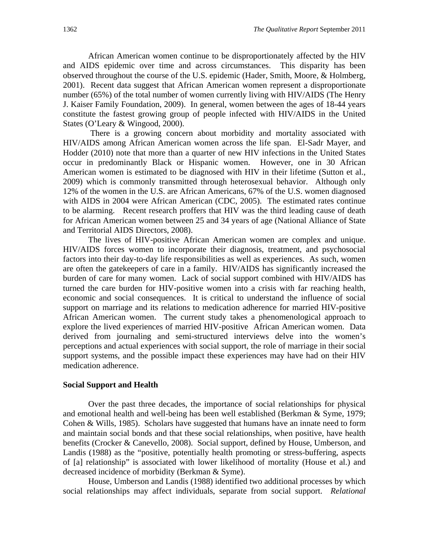African American women continue to be disproportionately affected by the HIV and AIDS epidemic over time and across circumstances. This disparity has been observed throughout the course of the U.S. epidemic (Hader, Smith, Moore, & Holmberg, 2001). Recent data suggest that African American women represent a disproportionate number (65%) of the total number of women currently living with HIV/AIDS (The Henry J. Kaiser Family Foundation, 2009). In general, women between the ages of 18-44 years constitute the fastest growing group of people infected with HIV/AIDS in the United States (O'Leary & Wingood, 2000).

 There is a growing concern about morbidity and mortality associated with HIV/AIDS among African American women across the life span. El-Sadr Mayer, and Hodder (2010) note that more than a quarter of new HIV infections in the United States occur in predominantly Black or Hispanic women. However, one in 30 African American women is estimated to be diagnosed with HIV in their lifetime (Sutton et al., 2009) which is commonly transmitted through heterosexual behavior. Although only 12% of the women in the U.S. are African Americans, 67% of the U.S. women diagnosed with AIDS in 2004 were African American (CDC, 2005). The estimated rates continue to be alarming. Recent research proffers that HIV was the third leading cause of death for African American women between 25 and 34 years of age (National Alliance of State and Territorial AIDS Directors, 2008).

The lives of HIV-positive African American women are complex and unique. HIV/AIDS forces women to incorporate their diagnosis, treatment, and psychosocial factors into their day-to-day life responsibilities as well as experiences. As such, women are often the gatekeepers of care in a family. HIV/AIDS has significantly increased the burden of care for many women. Lack of social support combined with HIV/AIDS has turned the care burden for HIV-positive women into a crisis with far reaching health, economic and social consequences. It is critical to understand the influence of social support on marriage and its relations to medication adherence for married HIV-positive African American women. The current study takes a phenomenological approach to explore the lived experiences of married HIV-positive African American women. Data derived from journaling and semi-structured interviews delve into the women's perceptions and actual experiences with social support, the role of marriage in their social support systems, and the possible impact these experiences may have had on their HIV medication adherence.

#### **Social Support and Health**

Over the past three decades, the importance of social relationships for physical and emotional health and well-being has been well established (Berkman & Syme, 1979; Cohen & Wills, 1985). Scholars have suggested that humans have an innate need to form and maintain social bonds and that these social relationships, when positive, have health benefits (Crocker & Canevello, 2008). Social support, defined by House, Umberson, and Landis (1988) as the "positive, potentially health promoting or stress-buffering, aspects of [a] relationship" is associated with lower likelihood of mortality (House et al.) and decreased incidence of morbidity (Berkman & Syme).

House, Umberson and Landis (1988) identified two additional processes by which social relationships may affect individuals, separate from social support. *Relational*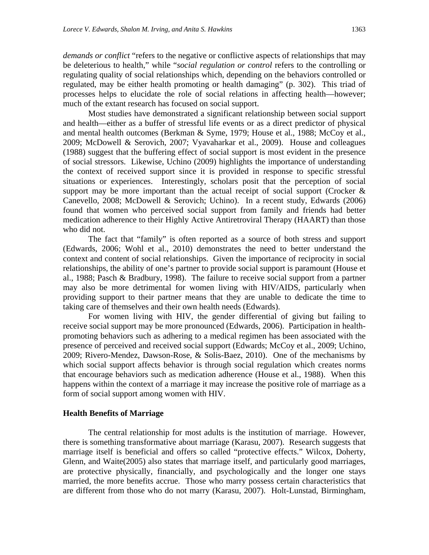*demands or conflict* "refers to the negative or conflictive aspects of relationships that may be deleterious to health," while "*social regulation or control* refers to the controlling or regulating quality of social relationships which, depending on the behaviors controlled or regulated, may be either health promoting or health damaging" (p. 302). This triad of processes helps to elucidate the role of social relations in affecting health—however; much of the extant research has focused on social support.

Most studies have demonstrated a significant relationship between social support and health—either as a buffer of stressful life events or as a direct predictor of physical and mental health outcomes (Berkman & Syme, 1979; House et al., 1988; McCoy et al., 2009; McDowell & Serovich, 2007; Vyavaharkar et al., 2009). House and colleagues (1988) suggest that the buffering effect of social support is most evident in the presence of social stressors. Likewise, Uchino (2009) highlights the importance of understanding the context of received support since it is provided in response to specific stressful situations or experiences. Interestingly, scholars posit that the perception of social support may be more important than the actual receipt of social support (Crocker  $\&$ Canevello, 2008; McDowell & Serovich; Uchino). In a recent study, Edwards (2006) found that women who perceived social support from family and friends had better medication adherence to their Highly Active Antiretroviral Therapy (HAART) than those who did not.

The fact that "family" is often reported as a source of both stress and support (Edwards, 2006; Wohl et al., 2010) demonstrates the need to better understand the context and content of social relationships. Given the importance of reciprocity in social relationships, the ability of one's partner to provide social support is paramount (House et al., 1988; Pasch & Bradbury, 1998). The failure to receive social support from a partner may also be more detrimental for women living with HIV/AIDS, particularly when providing support to their partner means that they are unable to dedicate the time to taking care of themselves and their own health needs (Edwards).

For women living with HIV, the gender differential of giving but failing to receive social support may be more pronounced (Edwards, 2006). Participation in healthpromoting behaviors such as adhering to a medical regimen has been associated with the presence of perceived and received social support (Edwards; McCoy et al., 2009; Uchino, 2009; Rivero-Mendez, Dawson-Rose, & Solis-Baez, 2010). One of the mechanisms by which social support affects behavior is through social regulation which creates norms that encourage behaviors such as medication adherence (House et al., 1988). When this happens within the context of a marriage it may increase the positive role of marriage as a form of social support among women with HIV.

#### **Health Benefits of Marriage**

The central relationship for most adults is the institution of marriage. However, there is something transformative about marriage (Karasu, 2007). Research suggests that marriage itself is beneficial and offers so called "protective effects." Wilcox, Doherty, Glenn, and Waite(2005) also states that marriage itself, and particularly good marriages, are protective physically, financially, and psychologically and the longer one stays married, the more benefits accrue. Those who marry possess certain characteristics that are different from those who do not marry (Karasu, 2007). Holt-Lunstad, Birmingham,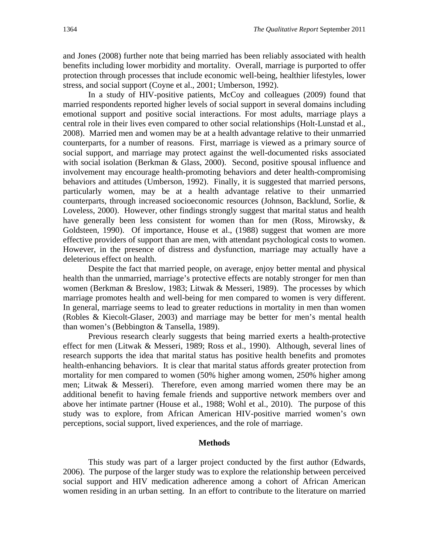and Jones (2008) further note that being married has been reliably associated with health benefits including lower morbidity and mortality. Overall, marriage is purported to offer protection through processes that include economic well-being, healthier lifestyles, lower stress, and social support (Coyne et al., 2001; Umberson, 1992).

In a study of HIV-positive patients, McCoy and colleagues (2009) found that married respondents reported higher levels of social support in several domains including emotional support and positive social interactions. For most adults, marriage plays a central role in their lives even compared to other social relationships (Holt-Lunstad et al., 2008). Married men and women may be at a health advantage relative to their unmarried counterparts, for a number of reasons. First, marriage is viewed as a primary source of social support, and marriage may protect against the well-documented risks associated with social isolation (Berkman & Glass, 2000). Second, positive spousal influence and involvement may encourage health-promoting behaviors and deter health-compromising behaviors and attitudes (Umberson, 1992). Finally, it is suggested that married persons, particularly women, may be at a health advantage relative to their unmarried counterparts, through increased socioeconomic resources (Johnson, Backlund, Sorlie, & Loveless, 2000). However, other findings strongly suggest that marital status and health have generally been less consistent for women than for men (Ross, Mirowsky, & Goldsteen, 1990). Of importance, House et al., (1988) suggest that women are more effective providers of support than are men, with attendant psychological costs to women. However, in the presence of distress and dysfunction, marriage may actually have a deleterious effect on health.

Despite the fact that married people, on average, enjoy better mental and physical health than the unmarried, marriage's protective effects are notably stronger for men than women (Berkman & Breslow, 1983; Litwak & Messeri, 1989). The processes by which marriage promotes health and well-being for men compared to women is very different. In general, marriage seems to lead to greater reductions in mortality in men than women (Robles & Kiecolt-Glaser, 2003) and marriage may be better for men's mental health than women's (Bebbington & Tansella, 1989).

Previous research clearly suggests that being married exerts a health-protective effect for men (Litwak & Messeri, 1989; Ross et al., 1990). Although, several lines of research supports the idea that marital status has positive health benefits and promotes health-enhancing behaviors. It is clear that marital status affords greater protection from mortality for men compared to women (50% higher among women, 250% higher among men; Litwak & Messeri). Therefore, even among married women there may be an additional benefit to having female friends and supportive network members over and above her intimate partner (House et al., 1988; Wohl et al., 2010). The purpose of this study was to explore, from African American HIV-positive married women's own perceptions, social support, lived experiences, and the role of marriage.

#### **Methods**

This study was part of a larger project conducted by the first author (Edwards, 2006). The purpose of the larger study was to explore the relationship between perceived social support and HIV medication adherence among a cohort of African American women residing in an urban setting. In an effort to contribute to the literature on married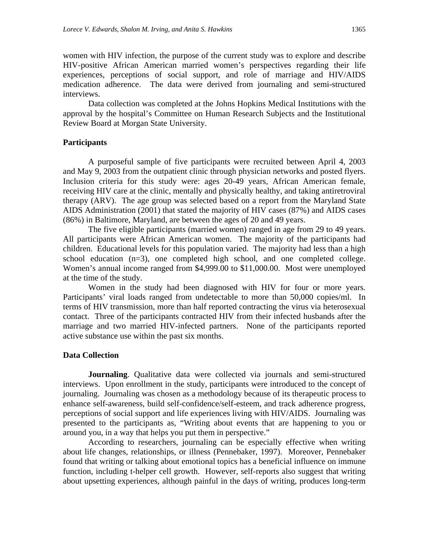women with HIV infection, the purpose of the current study was to explore and describe HIV-positive African American married women's perspectives regarding their life experiences, perceptions of social support, and role of marriage and HIV/AIDS medication adherence. The data were derived from journaling and semi-structured interviews.

Data collection was completed at the Johns Hopkins Medical Institutions with the approval by the hospital's Committee on Human Research Subjects and the Institutional Review Board at Morgan State University.

#### **Participants**

A purposeful sample of five participants were recruited between April 4, 2003 and May 9, 2003 from the outpatient clinic through physician networks and posted flyers. Inclusion criteria for this study were: ages 20-49 years, African American female, receiving HIV care at the clinic, mentally and physically healthy, and taking antiretroviral therapy (ARV). The age group was selected based on a report from the Maryland State AIDS Administration (2001) that stated the majority of HIV cases (87%) and AIDS cases (86%) in Baltimore, Maryland, are between the ages of 20 and 49 years.

The five eligible participants (married women) ranged in age from 29 to 49 years. All participants were African American women. The majority of the participants had children. Educational levels for this population varied. The majority had less than a high school education (n=3), one completed high school, and one completed college. Women's annual income ranged from \$4,999.00 to \$11,000.00. Most were unemployed at the time of the study.

Women in the study had been diagnosed with HIV for four or more years. Participants' viral loads ranged from undetectable to more than 50,000 copies/ml. In terms of HIV transmission, more than half reported contracting the virus via heterosexual contact. Three of the participants contracted HIV from their infected husbands after the marriage and two married HIV-infected partners. None of the participants reported active substance use within the past six months.

#### **Data Collection**

**Journaling**. Qualitative data were collected via journals and semi-structured interviews. Upon enrollment in the study, participants were introduced to the concept of journaling. Journaling was chosen as a methodology because of its therapeutic process to enhance self-awareness, build self-confidence/self-esteem, and track adherence progress, perceptions of social support and life experiences living with HIV/AIDS. Journaling was presented to the participants as, "Writing about events that are happening to you or around you, in a way that helps you put them in perspective."

According to researchers, journaling can be especially effective when writing about life changes, relationships, or illness (Pennebaker, 1997). Moreover, Pennebaker found that writing or talking about emotional topics has a beneficial influence on immune function, including t-helper cell growth. However, self-reports also suggest that writing about upsetting experiences, although painful in the days of writing, produces long-term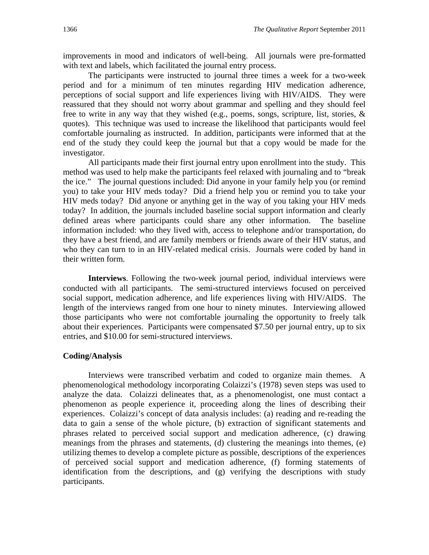improvements in mood and indicators of well-being. All journals were pre-formatted with text and labels, which facilitated the journal entry process.

The participants were instructed to journal three times a week for a two-week period and for a minimum of ten minutes regarding HIV medication adherence, perceptions of social support and life experiences living with HIV/AIDS. They were reassured that they should not worry about grammar and spelling and they should feel free to write in any way that they wished (e.g., poems, songs, scripture, list, stories, & quotes). This technique was used to increase the likelihood that participants would feel comfortable journaling as instructed. In addition, participants were informed that at the end of the study they could keep the journal but that a copy would be made for the investigator.

All participants made their first journal entry upon enrollment into the study. This method was used to help make the participants feel relaxed with journaling and to "break the ice." The journal questions included: Did anyone in your family help you (or remind you) to take your HIV meds today? Did a friend help you or remind you to take your HIV meds today? Did anyone or anything get in the way of you taking your HIV meds today? In addition, the journals included baseline social support information and clearly defined areas where participants could share any other information. The baseline information included: who they lived with, access to telephone and/or transportation, do they have a best friend, and are family members or friends aware of their HIV status, and who they can turn to in an HIV-related medical crisis. Journals were coded by hand in their written form.

**Interviews**. Following the two-week journal period, individual interviews were conducted with all participants. The semi-structured interviews focused on perceived social support, medication adherence, and life experiences living with HIV/AIDS. The length of the interviews ranged from one hour to ninety minutes. Interviewing allowed those participants who were not comfortable journaling the opportunity to freely talk about their experiences. Participants were compensated \$7.50 per journal entry, up to six entries, and \$10.00 for semi-structured interviews.

#### **Coding/Analysis**

Interviews were transcribed verbatim and coded to organize main themes. A phenomenological methodology incorporating Colaizzi's (1978) seven steps was used to analyze the data. Colaizzi delineates that, as a phenomenologist, one must contact a phenomenon as people experience it, proceeding along the lines of describing their experiences. Colaizzi's concept of data analysis includes: (a) reading and re-reading the data to gain a sense of the whole picture, (b) extraction of significant statements and phrases related to perceived social support and medication adherence, (c) drawing meanings from the phrases and statements, (d) clustering the meanings into themes, (e) utilizing themes to develop a complete picture as possible, descriptions of the experiences of perceived social support and medication adherence, (f) forming statements of identification from the descriptions, and (g) verifying the descriptions with study participants.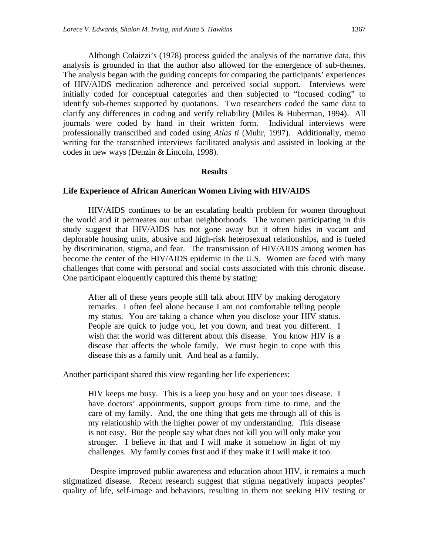Although Colaizzi's (1978) process guided the analysis of the narrative data, this analysis is grounded in that the author also allowed for the emergence of sub-themes. The analysis began with the guiding concepts for comparing the participants' experiences of HIV/AIDS medication adherence and perceived social support. Interviews were initially coded for conceptual categories and then subjected to "focused coding" to identify sub-themes supported by quotations. Two researchers coded the same data to clarify any differences in coding and verify reliability (Miles & Huberman, 1994). All journals were coded by hand in their written form. Individual interviews were professionally transcribed and coded using *Atlas ti* (Muhr, 1997). Additionally, memo writing for the transcribed interviews facilitated analysis and assisted in looking at the codes in new ways (Denzin & Lincoln, 1998).

#### **Results**

#### **Life Experience of African American Women Living with HIV/AIDS**

HIV/AIDS continues to be an escalating health problem for women throughout the world and it permeates our urban neighborhoods. The women participating in this study suggest that HIV/AIDS has not gone away but it often hides in vacant and deplorable housing units, abusive and high-risk heterosexual relationships, and is fueled by discrimination, stigma, and fear. The transmission of HIV/AIDS among women has become the center of the HIV/AIDS epidemic in the U.S. Women are faced with many challenges that come with personal and social costs associated with this chronic disease. One participant eloquently captured this theme by stating:

After all of these years people still talk about HIV by making derogatory remarks. I often feel alone because I am not comfortable telling people my status. You are taking a chance when you disclose your HIV status. People are quick to judge you, let you down, and treat you different. I wish that the world was different about this disease. You know HIV is a disease that affects the whole family. We must begin to cope with this disease this as a family unit. And heal as a family.

Another participant shared this view regarding her life experiences:

HIV keeps me busy. This is a keep you busy and on your toes disease. I have doctors' appointments, support groups from time to time, and the care of my family. And, the one thing that gets me through all of this is my relationship with the higher power of my understanding. This disease is not easy. But the people say what does not kill you will only make you stronger. I believe in that and I will make it somehow in light of my challenges. My family comes first and if they make it I will make it too.

 Despite improved public awareness and education about HIV, it remains a much stigmatized disease. Recent research suggest that stigma negatively impacts peoples' quality of life, self-image and behaviors, resulting in them not seeking HIV testing or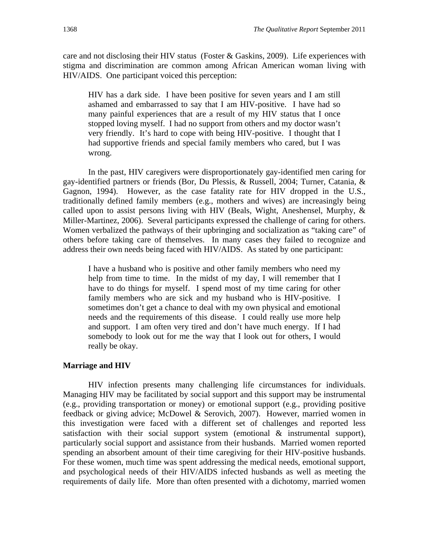care and not disclosing their HIV status (Foster & Gaskins, 2009). Life experiences with stigma and discrimination are common among African American woman living with HIV/AIDS. One participant voiced this perception:

HIV has a dark side. I have been positive for seven years and I am still ashamed and embarrassed to say that I am HIV-positive. I have had so many painful experiences that are a result of my HIV status that I once stopped loving myself. I had no support from others and my doctor wasn't very friendly. It's hard to cope with being HIV-positive. I thought that I had supportive friends and special family members who cared, but I was wrong.

In the past, HIV caregivers were disproportionately gay-identified men caring for gay-identified partners or friends (Bor, Du Plessis, & Russell, 2004; Turner, Catania, & Gagnon, 1994). However, as the case fatality rate for HIV dropped in the U.S., traditionally defined family members (e.g., mothers and wives) are increasingly being called upon to assist persons living with HIV (Beals, Wight, Aneshensel, Murphy, & Miller-Martinez, 2006). Several participants expressed the challenge of caring for others. Women verbalized the pathways of their upbringing and socialization as "taking care" of others before taking care of themselves. In many cases they failed to recognize and address their own needs being faced with HIV/AIDS. As stated by one participant:

I have a husband who is positive and other family members who need my help from time to time. In the midst of my day, I will remember that I have to do things for myself. I spend most of my time caring for other family members who are sick and my husband who is HIV-positive. I sometimes don't get a chance to deal with my own physical and emotional needs and the requirements of this disease. I could really use more help and support. I am often very tired and don't have much energy. If I had somebody to look out for me the way that I look out for others, I would really be okay.

#### **Marriage and HIV**

HIV infection presents many challenging life circumstances for individuals. Managing HIV may be facilitated by social support and this support may be instrumental (e.g., providing transportation or money) or emotional support (e.g., providing positive feedback or giving advice; McDowel & Serovich, 2007). However, married women in this investigation were faced with a different set of challenges and reported less satisfaction with their social support system (emotional  $\&$  instrumental support), particularly social support and assistance from their husbands. Married women reported spending an absorbent amount of their time caregiving for their HIV-positive husbands. For these women, much time was spent addressing the medical needs, emotional support, and psychological needs of their HIV/AIDS infected husbands as well as meeting the requirements of daily life. More than often presented with a dichotomy, married women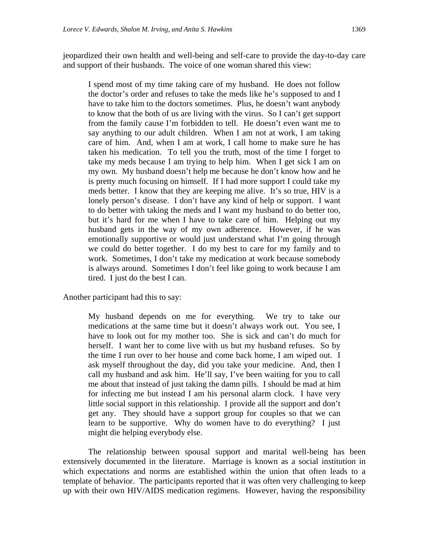jeopardized their own health and well-being and self-care to provide the day-to-day care and support of their husbands. The voice of one woman shared this view:

I spend most of my time taking care of my husband. He does not follow the doctor's order and refuses to take the meds like he's supposed to and I have to take him to the doctors sometimes. Plus, he doesn't want anybody to know that the both of us are living with the virus. So I can't get support from the family cause I'm forbidden to tell. He doesn't even want me to say anything to our adult children. When I am not at work, I am taking care of him. And, when I am at work, I call home to make sure he has taken his medication. To tell you the truth, most of the time I forget to take my meds because I am trying to help him. When I get sick I am on my own. My husband doesn't help me because he don't know how and he is pretty much focusing on himself. If I had more support I could take my meds better. I know that they are keeping me alive. It's so true, HIV is a lonely person's disease. I don't have any kind of help or support. I want to do better with taking the meds and I want my husband to do better too, but it's hard for me when I have to take care of him. Helping out my husband gets in the way of my own adherence. However, if he was emotionally supportive or would just understand what I'm going through we could do better together. I do my best to care for my family and to work. Sometimes, I don't take my medication at work because somebody is always around. Sometimes I don't feel like going to work because I am tired. I just do the best I can.

Another participant had this to say:

My husband depends on me for everything. We try to take our medications at the same time but it doesn't always work out. You see, I have to look out for my mother too. She is sick and can't do much for herself. I want her to come live with us but my husband refuses. So by the time I run over to her house and come back home, I am wiped out. I ask myself throughout the day, did you take your medicine. And, then I call my husband and ask him. He'll say, I've been waiting for you to call me about that instead of just taking the damn pills. I should be mad at him for infecting me but instead I am his personal alarm clock. I have very little social support in this relationship. I provide all the support and don't get any. They should have a support group for couples so that we can learn to be supportive. Why do women have to do everything? I just might die helping everybody else.

The relationship between spousal support and marital well-being has been extensively documented in the literature. Marriage is known as a social institution in which expectations and norms are established within the union that often leads to a template of behavior. The participants reported that it was often very challenging to keep up with their own HIV/AIDS medication regimens. However, having the responsibility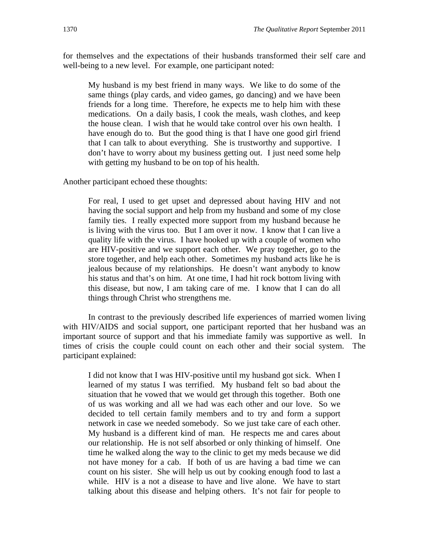for themselves and the expectations of their husbands transformed their self care and well-being to a new level. For example, one participant noted:

My husband is my best friend in many ways. We like to do some of the same things (play cards, and video games, go dancing) and we have been friends for a long time. Therefore, he expects me to help him with these medications. On a daily basis, I cook the meals, wash clothes, and keep the house clean. I wish that he would take control over his own health. I have enough do to. But the good thing is that I have one good girl friend that I can talk to about everything. She is trustworthy and supportive. I don't have to worry about my business getting out. I just need some help with getting my husband to be on top of his health.

Another participant echoed these thoughts:

For real, I used to get upset and depressed about having HIV and not having the social support and help from my husband and some of my close family ties. I really expected more support from my husband because he is living with the virus too. But I am over it now. I know that I can live a quality life with the virus. I have hooked up with a couple of women who are HIV-positive and we support each other. We pray together, go to the store together, and help each other. Sometimes my husband acts like he is jealous because of my relationships. He doesn't want anybody to know his status and that's on him. At one time, I had hit rock bottom living with this disease, but now, I am taking care of me. I know that I can do all things through Christ who strengthens me.

In contrast to the previously described life experiences of married women living with HIV/AIDS and social support, one participant reported that her husband was an important source of support and that his immediate family was supportive as well. In times of crisis the couple could count on each other and their social system. The participant explained:

I did not know that I was HIV-positive until my husband got sick. When I learned of my status I was terrified. My husband felt so bad about the situation that he vowed that we would get through this together. Both one of us was working and all we had was each other and our love. So we decided to tell certain family members and to try and form a support network in case we needed somebody. So we just take care of each other. My husband is a different kind of man. He respects me and cares about our relationship. He is not self absorbed or only thinking of himself. One time he walked along the way to the clinic to get my meds because we did not have money for a cab. If both of us are having a bad time we can count on his sister. She will help us out by cooking enough food to last a while. HIV is a not a disease to have and live alone. We have to start talking about this disease and helping others. It's not fair for people to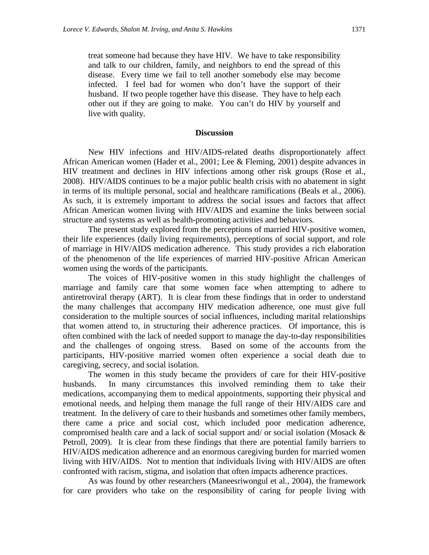treat someone bad because they have HIV. We have to take responsibility and talk to our children, family, and neighbors to end the spread of this disease. Every time we fail to tell another somebody else may become infected. I feel bad for women who don't have the support of their husband. If two people together have this disease. They have to help each other out if they are going to make. You can't do HIV by yourself and live with quality.

#### **Discussion**

New HIV infections and HIV/AIDS-related deaths disproportionately affect African American women (Hader et al., 2001; Lee & Fleming, 2001) despite advances in HIV treatment and declines in HIV infections among other risk groups (Rose et al., 2008). HIV/AIDS continues to be a major public health crisis with no abatement in sight in terms of its multiple personal, social and healthcare ramifications (Beals et al., 2006). As such, it is extremely important to address the social issues and factors that affect African American women living with HIV/AIDS and examine the links between social structure and systems as well as health-promoting activities and behaviors.

The present study explored from the perceptions of married HIV-positive women, their life experiences (daily living requirements), perceptions of social support, and role of marriage in HIV/AIDS medication adherence. This study provides a rich elaboration of the phenomenon of the life experiences of married HIV-positive African American women using the words of the participants.

The voices of HIV-positive women in this study highlight the challenges of marriage and family care that some women face when attempting to adhere to antiretroviral therapy (ART). It is clear from these findings that in order to understand the many challenges that accompany HIV medication adherence, one must give full consideration to the multiple sources of social influences, including marital relationships that women attend to, in structuring their adherence practices. Of importance, this is often combined with the lack of needed support to manage the day-to-day responsibilities and the challenges of ongoing stress. Based on some of the accounts from the participants, HIV-positive married women often experience a social death due to caregiving, secrecy, and social isolation.

The women in this study became the providers of care for their HIV-positive husbands. In many circumstances this involved reminding them to take their medications, accompanying them to medical appointments, supporting their physical and emotional needs, and helping them manage the full range of their HIV/AIDS care and treatment. In the delivery of care to their husbands and sometimes other family members, there came a price and social cost, which included poor medication adherence, compromised health care and a lack of social support and/ or social isolation (Mosack & Petroll, 2009). It is clear from these findings that there are potential family barriers to HIV/AIDS medication adherence and an enormous caregiving burden for married women living with HIV/AIDS. Not to mention that individuals living with HIV/AIDS are often confronted with racism, stigma, and isolation that often impacts adherence practices.

As was found by other researchers (Maneesriwongul et al., 2004), the framework for care providers who take on the responsibility of caring for people living with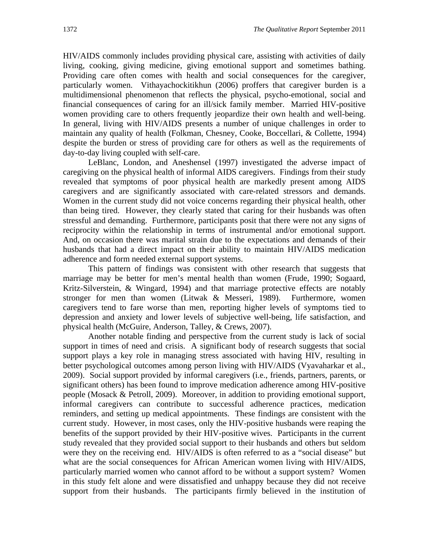HIV/AIDS commonly includes providing physical care, assisting with activities of daily living, cooking, giving medicine, giving emotional support and sometimes bathing. Providing care often comes with health and social consequences for the caregiver, particularly women. Vithayachockitikhun (2006) proffers that caregiver burden is a multidimensional phenomenon that reflects the physical, psycho-emotional, social and financial consequences of caring for an ill/sick family member. Married HIV-positive women providing care to others frequently jeopardize their own health and well-being. In general, living with HIV/AIDS presents a number of unique challenges in order to maintain any quality of health (Folkman, Chesney, Cooke, Boccellari, & Collette, 1994) despite the burden or stress of providing care for others as well as the requirements of day-to-day living coupled with self-care.

LeBlanc, London, and Aneshensel (1997) investigated the adverse impact of caregiving on the physical health of informal AIDS caregivers. Findings from their study revealed that symptoms of poor physical health are markedly present among AIDS caregivers and are significantly associated with care-related stressors and demands. Women in the current study did not voice concerns regarding their physical health, other than being tired. However, they clearly stated that caring for their husbands was often stressful and demanding. Furthermore, participants posit that there were not any signs of reciprocity within the relationship in terms of instrumental and/or emotional support. And, on occasion there was marital strain due to the expectations and demands of their husbands that had a direct impact on their ability to maintain HIV/AIDS medication adherence and form needed external support systems.

This pattern of findings was consistent with other research that suggests that marriage may be better for men's mental health than women (Frude, 1990; Sogaard, Kritz-Silverstein, & Wingard, 1994) and that marriage protective effects are notably stronger for men than women (Litwak & Messeri, 1989). Furthermore, women caregivers tend to fare worse than men, reporting higher levels of symptoms tied to depression and anxiety and lower levels of subjective well-being, life satisfaction, and physical health (McGuire, Anderson, Talley, & Crews, 2007).

Another notable finding and perspective from the current study is lack of social support in times of need and crisis. A significant body of research suggests that social support plays a key role in managing stress associated with having HIV, resulting in better psychological outcomes among person living with HIV/AIDS (Vyavaharkar et al., 2009). Social support provided by informal caregivers (i.e., friends, partners, parents, or significant others) has been found to improve medication adherence among HIV-positive people (Mosack & Petroll, 2009). Moreover, in addition to providing emotional support, informal caregivers can contribute to successful adherence practices, medication reminders, and setting up medical appointments. These findings are consistent with the current study. However, in most cases, only the HIV-positive husbands were reaping the benefits of the support provided by their HIV-positive wives. Participants in the current study revealed that they provided social support to their husbands and others but seldom were they on the receiving end. HIV/AIDS is often referred to as a "social disease" but what are the social consequences for African American women living with HIV/AIDS, particularly married women who cannot afford to be without a support system? Women in this study felt alone and were dissatisfied and unhappy because they did not receive support from their husbands. The participants firmly believed in the institution of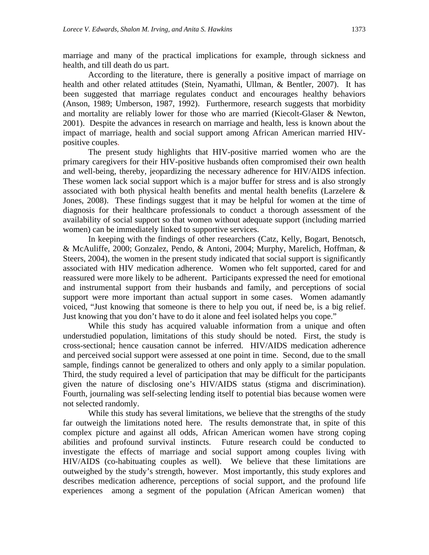marriage and many of the practical implications for example, through sickness and health, and till death do us part.

According to the literature, there is generally a positive impact of marriage on health and other related attitudes (Stein, Nyamathi, Ullman, & Bentler, 2007). It has been suggested that marriage regulates conduct and encourages healthy behaviors (Anson, 1989; Umberson, 1987, 1992). Furthermore, research suggests that morbidity and mortality are reliably lower for those who are married (Kiecolt-Glaser & Newton, 2001). Despite the advances in research on marriage and health, less is known about the impact of marriage, health and social support among African American married HIVpositive couples.

The present study highlights that HIV-positive married women who are the primary caregivers for their HIV-positive husbands often compromised their own health and well-being, thereby, jeopardizing the necessary adherence for HIV/AIDS infection. These women lack social support which is a major buffer for stress and is also strongly associated with both physical health benefits and mental health benefits (Larzelere & Jones, 2008). These findings suggest that it may be helpful for women at the time of diagnosis for their healthcare professionals to conduct a thorough assessment of the availability of social support so that women without adequate support (including married women) can be immediately linked to supportive services.

In keeping with the findings of other researchers (Catz, Kelly, Bogart, Benotsch, & McAuliffe, 2000; Gonzalez, Pendo, & Antoni, 2004; Murphy, Marelich, Hoffman, & Steers, 2004), the women in the present study indicated that social support is significantly associated with HIV medication adherence. Women who felt supported, cared for and reassured were more likely to be adherent. Participants expressed the need for emotional and instrumental support from their husbands and family, and perceptions of social support were more important than actual support in some cases. Women adamantly voiced, "Just knowing that someone is there to help you out, if need be, is a big relief. Just knowing that you don't have to do it alone and feel isolated helps you cope."

While this study has acquired valuable information from a unique and often understudied population, limitations of this study should be noted. First, the study is cross-sectional; hence causation cannot be inferred. HIV/AIDS medication adherence and perceived social support were assessed at one point in time. Second, due to the small sample, findings cannot be generalized to others and only apply to a similar population. Third, the study required a level of participation that may be difficult for the participants given the nature of disclosing one's HIV/AIDS status (stigma and discrimination). Fourth, journaling was self-selecting lending itself to potential bias because women were not selected randomly.

While this study has several limitations, we believe that the strengths of the study far outweigh the limitations noted here. The results demonstrate that, in spite of this complex picture and against all odds, African American women have strong coping abilities and profound survival instincts. Future research could be conducted to investigate the effects of marriage and social support among couples living with HIV/AIDS (co-habituating couples as well). We believe that these limitations are outweighed by the study's strength, however. Most importantly, this study explores and describes medication adherence, perceptions of social support, and the profound life experiences among a segment of the population (African American women) that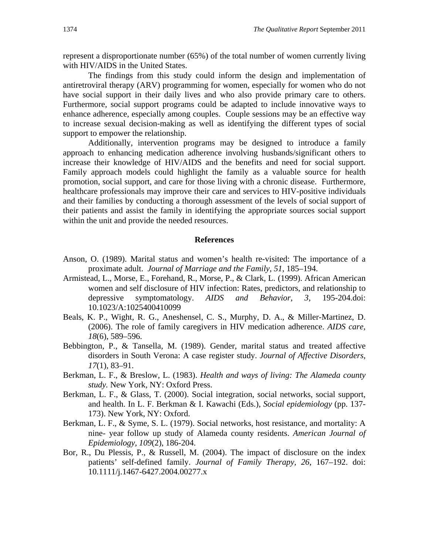represent a disproportionate number (65%) of the total number of women currently living with HIV/AIDS in the United States.

The findings from this study could inform the design and implementation of antiretroviral therapy (ARV) programming for women, especially for women who do not have social support in their daily lives and who also provide primary care to others. Furthermore, social support programs could be adapted to include innovative ways to enhance adherence, especially among couples. Couple sessions may be an effective way to increase sexual decision-making as well as identifying the different types of social support to empower the relationship.

Additionally, intervention programs may be designed to introduce a family approach to enhancing medication adherence involving husbands/significant others to increase their knowledge of HIV/AIDS and the benefits and need for social support. Family approach models could highlight the family as a valuable source for health promotion, social support, and care for those living with a chronic disease. Furthermore, healthcare professionals may improve their care and services to HIV-positive individuals and their families by conducting a thorough assessment of the levels of social support of their patients and assist the family in identifying the appropriate sources social support within the unit and provide the needed resources.

#### **References**

- Anson, O. (1989). Marital status and women's health re-visited: The importance of a proximate adult. *Journal of Marriage and the Family, 51*, 185–194.
- Armistead, L., Morse, E., Forehand, R., Morse, P., & Clark, L. (1999). African American women and self disclosure of HIV infection: Rates, predictors, and relationship to depressive symptomatology. *AIDS and Behavior, 3,* 195-204.doi: 10.1023/A:1025400410099
- Beals, K. P., Wight, R. G., Aneshensel, C. S., Murphy, D. A., & Miller-Martinez, D. (2006). The role of family caregivers in HIV medication adherence. *AIDS care, 18*(6), 589–596.
- Bebbington, P., & Tansella, M. (1989). Gender, marital status and treated affective disorders in South Verona: A case register study. *Journal of Affective Disorders, 17*(1)*,* 83–91.
- Berkman, L. F., & Breslow, L. (1983). *Health and ways of living: The Alameda county study.* New York, NY: Oxford Press.
- Berkman, L. F., & Glass, T. (2000). Social integration, social networks, social support, and health. In L. F. Berkman & I. Kawachi (Eds.), *Social epidemiology* (pp. 137- 173). New York, NY: Oxford.
- Berkman, L. F., & Syme, S. L. (1979). Social networks, host resistance, and mortality: A nine- year follow up study of Alameda county residents. *American Journal of Epidemiology, 109*(2), 186-204.
- Bor, R., Du Plessis, P., & Russell, M. (2004). The impact of disclosure on the index patients' self-defined family. *Journal of Family Therapy, 26*, 167–192. doi: 10.1111/j.1467-6427.2004.00277.x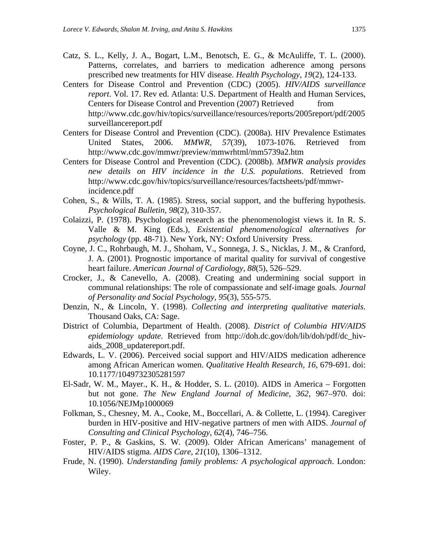- Catz, S. L., Kelly, J. A., Bogart, L.M., Benotsch, E. G., & McAuliffe, T. L. (2000). Patterns, correlates, and barriers to medication adherence among persons prescribed new treatments for HIV disease. *Health Psychology, 19*(2), 124-133.
- Centers for Disease Control and Prevention (CDC) (2005). *HIV/AIDS surveillance report*. Vol. 17. Rev ed. Atlanta: U.S. Department of Health and Human Services, Centers for Disease Control and Prevention (2007) Retrieved from http://www.cdc.gov/hiv/topics/surveillance/resources/reports/2005report/pdf/2005 surveillancereport.pdf
- Centers for Disease Control and Prevention (CDC). (2008a). HIV Prevalence Estimates United States, 2006. *MMWR, 57*(39), 1073-1076. Retrieved from http://www.cdc.gov/mmwr/preview/mmwrhtml/mm5739a2.htm
- Centers for Disease Control and Prevention (CDC). (2008b). *MMWR analysis provides new details on HIV incidence in the U.S. populations*. Retrieved from http://www.cdc.gov/hiv/topics/surveillance/resources/factsheets/pdf/mmwrincidence.pdf
- Cohen, S., & Wills, T. A. (1985). Stress, social support, and the buffering hypothesis. *Psychological Bulletin, 98*(2), 310-357.
- Colaizzi, P. (1978). Psychological research as the phenomenologist views it. In R. S. Valle & M. King (Eds.), *Existential phenomenological alternatives for psychology* (pp. 48-71). New York, NY: Oxford University Press.
- Coyne, J. C., Rohrbaugh, M. J., Shoham, V., Sonnega, J. S., Nicklas, J. M., & Cranford, J. A. (2001). Prognostic importance of marital quality for survival of congestive heart failure. *American Journal of Cardiology, 88*(5), 526–529.
- Crocker, J., & Canevello, A. (2008). Creating and undermining social support in communal relationships: The role of compassionate and self-image goals*. Journal of Personality and Social Psychology, 95*(3), 555-575.
- Denzin, N., & Lincoln, Y. (1998). *Collecting and interpreting qualitative materials*. Thousand Oaks, CA: Sage.
- District of Columbia, Department of Health. (2008). *District of Columbia HIV/AIDS epidemiology update*. Retrieved from http://doh.dc.gov/doh/lib/doh/pdf/dc\_hivaids\_2008\_updatereport.pdf.
- Edwards, L. V. (2006). Perceived social support and HIV/AIDS medication adherence among African American women. *Qualitative Health Research, 16*, 679-691. doi: 10.1177/1049732305281597
- El-Sadr, W. M., Mayer., K. H., & Hodder, S. L. (2010). AIDS in America Forgotten but not gone. *The New England Journal of Medicine, 362*, 967–970. doi: 10.1056/NEJMp1000069
- Folkman, S., Chesney, M. A., Cooke, M., Boccellari, A. & Collette, L. (1994). Caregiver burden in HIV-positive and HIV-negative partners of men with AIDS. *Journal of Consulting and Clinical Psychology, 62*(4), 746–756.
- Foster, P. P., & Gaskins, S. W. (2009). Older African Americans' management of HIV/AIDS stigma. *AIDS Care, 21*(10), 1306–1312.
- Frude, N. (1990). *Understanding family problems: A psychological approach*. London: Wiley.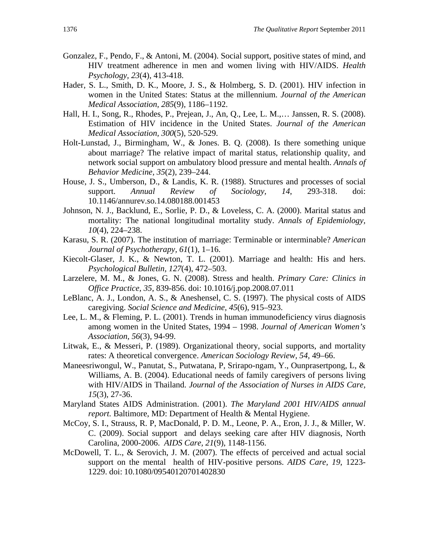- Gonzalez, F., Pendo, F., & Antoni, M. (2004). Social support, positive states of mind, and HIV treatment adherence in men and women living with HIV/AIDS. *Health Psychology, 23*(4), 413-418.
- Hader, S. L., Smith, D. K., Moore, J. S., & Holmberg, S. D. (2001). HIV infection in women in the United States: Status at the millennium. *Journal of the American Medical Association, 285*(9)*,* 1186–1192.
- Hall, H. I., Song, R., Rhodes, P., Prejean, J., An, Q., Lee, L. M.,… Janssen, R. S. (2008). Estimation of HIV incidence in the United States. *Journal of the American Medical Association, 300*(5)*,* 520-529.
- Holt-Lunstad, J., Birmingham, W., & Jones. B. Q. (2008). Is there something unique about marriage? The relative impact of marital status, relationship quality, and network social support on ambulatory blood pressure and mental health. *Annals of Behavior Medicine, 35*(2)*,* 239–244.
- House, J. S., Umberson, D., & Landis, K. R. (1988). Structures and processes of social support. *Annual Review of Sociology, 14*, 293-318. doi: 10.1146/annurev.so.14.080188.001453
- Johnson, N. J., Backlund, E., Sorlie, P. D., & Loveless, C. A. (2000). Marital status and mortality: The national longitudinal mortality study. *Annals of Epidemiology, 10*(4), 224–238.
- Karasu, S. R. (2007). The institution of marriage: Terminable or interminable? *American Journal of Psychotherapy, 61*(1), 1–16.
- Kiecolt-Glaser, J. K., & Newton, T. L. (2001). Marriage and health: His and hers. *Psychological Bulletin, 127*(4), 472–503.
- Larzelere, M. M., & Jones, G. N. (2008). Stress and health. *Primary Care: Clinics in Office Practice, 35,* 839-856. doi: 10.1016/j.pop.2008.07.011
- LeBlanc, A. J., London, A. S., & Aneshensel, C. S. (1997). The physical costs of AIDS caregiving. *Social Science and Medicine, 45*(6), 915–923.
- Lee, L. M., & Fleming, P. L. (2001). Trends in human immunodeficiency virus diagnosis among women in the United States, 1994 – 1998. *Journal of American Women's Association, 56*(3)*,* 94-99.
- Litwak, E., & Messeri, P. (1989). Organizational theory, social supports, and mortality rates: A theoretical convergence. *American Sociology Review, 54*, 49–66.
- Maneesriwongul, W., Panutat, S., Putwatana, P, Srirapo-ngam, Y., Ounprasertpong, L, & Williams, A. B. (2004). Educational needs of family caregivers of persons living with HIV/AIDS in Thailand. *Journal of the Association of Nurses in AIDS Care, 15*(3)*,* 27-36.
- Maryland States AIDS Administration. (2001). *The Maryland 2001 HIV/AIDS annual report.* Baltimore, MD: Department of Health & Mental Hygiene.
- McCoy, S. I., Strauss, R. P, MacDonald, P. D. M., Leone, P. A., Eron, J. J., & Miller, W. C. (2009). Social support and delays seeking care after HIV diagnosis, North Carolina, 2000-2006. *AIDS Care, 21*(9), 1148-1156.
- McDowell, T. L., & Serovich, J. M. (2007). The effects of perceived and actual social support on the mental health of HIV-positive persons. *AIDS Care, 19*, 1223- 1229. doi: 10.1080/09540120701402830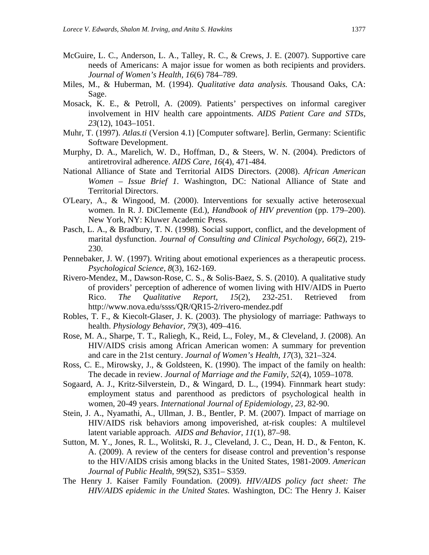- McGuire, L. C., Anderson, L. A., Talley, R. C., & Crews, J. E. (2007). Supportive care needs of Americans: A major issue for women as both recipients and providers. *Journal of Women's Health, 16*(6) 784–789.
- Miles, M., & Huberman, M. (1994). *Qualitative data analysis.* Thousand Oaks, CA: Sage.
- Mosack, K. E., & Petroll, A. (2009). Patients' perspectives on informal caregiver involvement in HIV health care appointments. *AIDS Patient Care and STDs, 23*(12), 1043–1051.
- Muhr, T. (1997). *Atlas.ti* (Version 4.1) [Computer software]. Berlin, Germany: Scientific Software Development.
- Murphy, D. A., Marelich, W. D., Hoffman, D., & Steers, W. N. (2004). Predictors of antiretroviral adherence. *AIDS Care, 16*(4), 471-484.
- National Alliance of State and Territorial AIDS Directors. (2008). *African American Women – Issue Brief 1*. Washington, DC: National Alliance of State and Territorial Directors.
- O'Leary, A., & Wingood, M. (2000). Interventions for sexually active heterosexual women. In R. J. DiClemente (Ed.), *Handbook of HIV prevention* (pp. 179–200). New York, NY: Kluwer Academic Press.
- Pasch, L. A., & Bradbury, T. N. (1998). Social support, conflict, and the development of marital dysfunction. *Journal of Consulting and Clinical Psychology, 66*(2), 219- 230.
- Pennebaker, J. W. (1997). Writing about emotional experiences as a therapeutic process. *Psychological Science, 8*(3), 162-169.
- Rivero-Mendez, M., Dawson-Rose, C. S., & Solis-Baez, S. S. (2010). A qualitative study of providers' perception of adherence of women living with HIV/AIDS in Puerto Rico. *The Qualitative Report, 15*(2), 232-251. Retrieved from http://www.nova.edu/ssss/QR/QR15-2/rivero-mendez.pdf
- Robles, T. F., & Kiecolt-Glaser, J. K. (2003). The physiology of marriage: Pathways to health. *Physiology Behavior, 79*(3), 409–416.
- Rose, M. A., Sharpe, T. T., Raliegh, K., Reid, L., Foley, M., & Cleveland, J. (2008). An HIV/AIDS crisis among African American women: A summary for prevention and care in the 21st century. *Journal of Women's Health, 17*(3), 321–324.
- Ross, C. E., Mirowsky, J., & Goldsteen, K. (1990). The impact of the family on health: The decade in review. *Journal of Marriage and the Family, 52*(4), 1059–1078.
- Sogaard, A. J., Kritz-Silverstein, D., & Wingard, D. L., (1994). Finnmark heart study: employment status and parenthood as predictors of psychological health in women, 20-49 years. *International Journal of Epidemiology, 23*, 82-90.
- Stein, J. A., Nyamathi, A., Ullman, J. B., Bentler, P. M. (2007). Impact of marriage on HIV/AIDS risk behaviors among impoverished, at-risk couples: A multilevel latent variable approach. *AIDS and Behavior, 11*(1), 87–98.
- Sutton, M. Y., Jones, R. L., Wolitski, R. J., Cleveland, J. C., Dean, H. D., & Fenton, K. A. (2009). A review of the centers for disease control and prevention's response to the HIV/AIDS crisis among blacks in the United States, 1981-2009. *American Journal of Public Health, 99*(S2), S351– S359.
- The Henry J. Kaiser Family Foundation. (2009). *HIV/AIDS policy fact sheet: The HIV/AIDS epidemic in the United States.* Washington, DC: The Henry J. Kaiser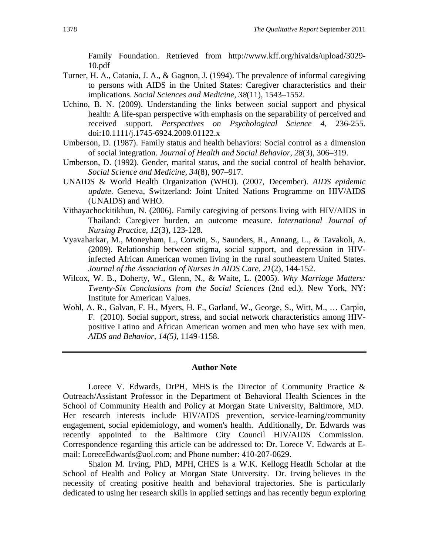Family Foundation. Retrieved from http://www.kff.org/hivaids/upload/3029- 10.pdf

- Turner, H. A., Catania, J. A., & Gagnon, J. (1994). The prevalence of informal caregiving to persons with AIDS in the United States: Caregiver characteristics and their implications. *Social Sciences and Medicine, 38*(11), 1543–1552.
- Uchino, B. N. (2009). Understanding the links between social support and physical health: A life-span perspective with emphasis on the separability of perceived and received support. *Perspectives on Psychological Science 4*, 236-255. doi:10.1111/j.1745-6924.2009.01122.x
- Umberson, D. (1987). Family status and health behaviors: Social control as a dimension of social integration. *Journal of Health and Social Behavior, 28*(3), 306–319.
- Umberson, D. (1992). Gender, marital status, and the social control of health behavior. *Social Science and Medicine, 34*(8), 907–917.
- UNAIDS & World Health Organization (WHO). (2007, December). *AIDS epidemic update*. Geneva, Switzerland: Joint United Nations Programme on HIV/AIDS (UNAIDS) and WHO.
- Vithayachockitikhun, N. (2006). Family caregiving of persons living with HIV/AIDS in Thailand: Caregiver burden, an outcome measure. *International Journal of Nursing Practice, 12*(3)*,* 123-128.
- Vyavaharkar, M., Moneyham, L., Corwin, S., Saunders, R., Annang, L., & Tavakoli, A. (2009). Relationship between stigma, social support, and depression in HIVinfected African American women living in the rural southeastern United States. *Journal of the Association of Nurses in AIDS Care, 21*(2), 144-152.
- Wilcox, W. B., Doherty, W., Glenn, N., & Waite, L. (2005). *Why Marriage Matters: Twenty-Six Conclusions from the Social Sciences* (2nd ed.). New York, NY: Institute for American Values.
- Wohl, A. R., Galvan, F. H., Myers, H. F., Garland, W., George, S., Witt, M., … Carpio, F. (2010). Social support, stress, and social network characteristics among HIVpositive Latino and African American women and men who have sex with men. *AIDS and Behavior, 14(5)*, 1149-1158.

#### **Author Note**

Lorece V. Edwards, DrPH, MHS is the Director of Community Practice & Outreach/Assistant Professor in the Department of Behavioral Health Sciences in the School of Community Health and Policy at Morgan State University, Baltimore, MD. Her research interests include HIV/AIDS prevention, service-learning/community engagement, social epidemiology, and women's health. Additionally, Dr. Edwards was recently appointed to the Baltimore City Council HIV/AIDS Commission. Correspondence regarding this article can be addressed to: Dr. Lorece V. Edwards at Email: LoreceEdwards@aol.com; and Phone number: 410-207-0629.

Shalon M. Irving, PhD, MPH, CHES is a W.K. Kellogg Heatlh Scholar at the School of Health and Policy at Morgan State University. Dr. Irving believes in the necessity of creating positive health and behavioral trajectories. She is particularly dedicated to using her research skills in applied settings and has recently begun exploring